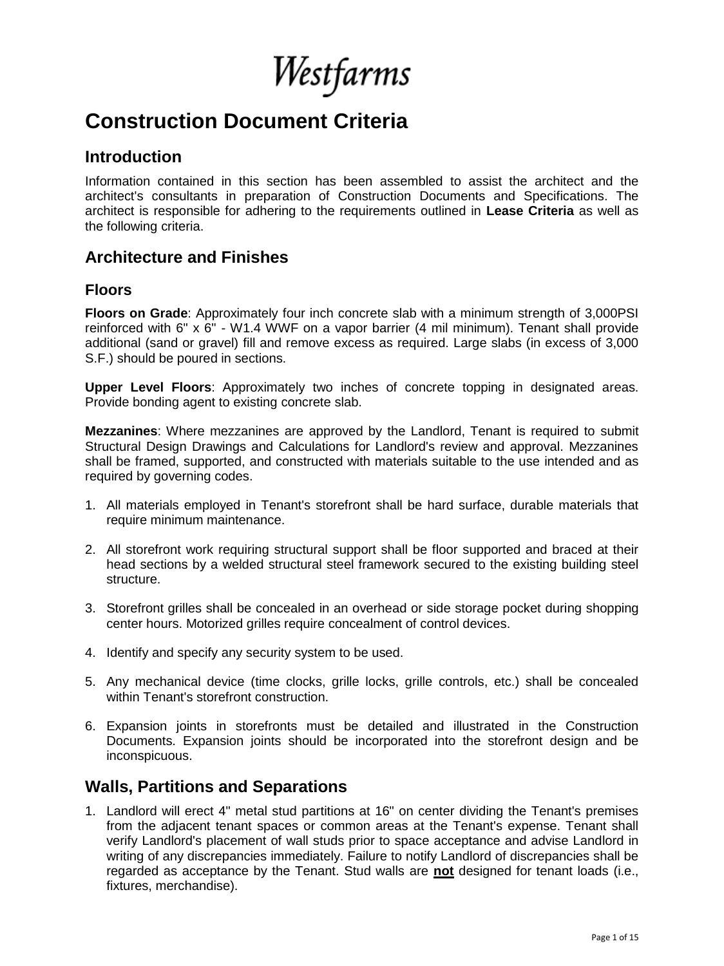Westfarms

# **Construction Document Criteria**

## **Introduction**

Information contained in this section has been assembled to assist the architect and the architect's consultants in preparation of Construction Documents and Specifications. The architect is responsible for adhering to the requirements outlined in **Lease Criteria** as well as the following criteria.

# **Architecture and Finishes**

## **Floors**

**Floors on Grade**: Approximately four inch concrete slab with a minimum strength of 3,000PSI reinforced with 6" x 6" - W1.4 WWF on a vapor barrier (4 mil minimum). Tenant shall provide additional (sand or gravel) fill and remove excess as required. Large slabs (in excess of 3,000 S.F.) should be poured in sections.

**Upper Level Floors**: Approximately two inches of concrete topping in designated areas. Provide bonding agent to existing concrete slab.

**Mezzanines**: Where mezzanines are approved by the Landlord, Tenant is required to submit Structural Design Drawings and Calculations for Landlord's review and approval. Mezzanines shall be framed, supported, and constructed with materials suitable to the use intended and as required by governing codes.

- 1. All materials employed in Tenant's storefront shall be hard surface, durable materials that require minimum maintenance.
- 2. All storefront work requiring structural support shall be floor supported and braced at their head sections by a welded structural steel framework secured to the existing building steel structure.
- 3. Storefront grilles shall be concealed in an overhead or side storage pocket during shopping center hours. Motorized grilles require concealment of control devices.
- 4. Identify and specify any security system to be used.
- 5. Any mechanical device (time clocks, grille locks, grille controls, etc.) shall be concealed within Tenant's storefront construction.
- 6. Expansion joints in storefronts must be detailed and illustrated in the Construction Documents. Expansion joints should be incorporated into the storefront design and be inconspicuous.

# **Walls, Partitions and Separations**

1. Landlord will erect 4" metal stud partitions at 16" on center dividing the Tenant's premises from the adjacent tenant spaces or common areas at the Tenant's expense. Tenant shall verify Landlord's placement of wall studs prior to space acceptance and advise Landlord in writing of any discrepancies immediately. Failure to notify Landlord of discrepancies shall be regarded as acceptance by the Tenant. Stud walls are **not** designed for tenant loads (i.e., fixtures, merchandise).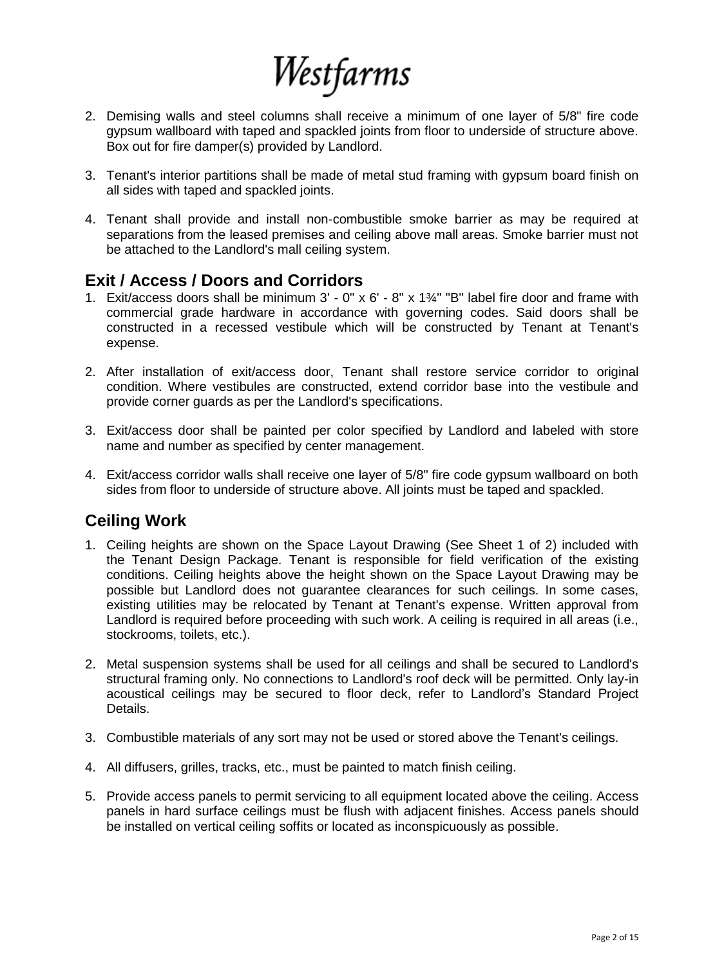

- 2. Demising walls and steel columns shall receive a minimum of one layer of 5/8" fire code gypsum wallboard with taped and spackled joints from floor to underside of structure above. Box out for fire damper(s) provided by Landlord.
- 3. Tenant's interior partitions shall be made of metal stud framing with gypsum board finish on all sides with taped and spackled joints.
- 4. Tenant shall provide and install non-combustible smoke barrier as may be required at separations from the leased premises and ceiling above mall areas. Smoke barrier must not be attached to the Landlord's mall ceiling system.

## **Exit / Access / Doors and Corridors**

- 1. Exit/access doors shall be minimum  $3'$  0" x 6' 8" x  $1\frac{3}{4}$ " "B" label fire door and frame with commercial grade hardware in accordance with governing codes. Said doors shall be constructed in a recessed vestibule which will be constructed by Tenant at Tenant's expense.
- 2. After installation of exit/access door, Tenant shall restore service corridor to original condition. Where vestibules are constructed, extend corridor base into the vestibule and provide corner guards as per the Landlord's specifications.
- 3. Exit/access door shall be painted per color specified by Landlord and labeled with store name and number as specified by center management.
- 4. Exit/access corridor walls shall receive one layer of 5/8" fire code gypsum wallboard on both sides from floor to underside of structure above. All joints must be taped and spackled.

## **Ceiling Work**

- 1. Ceiling heights are shown on the Space Layout Drawing (See Sheet 1 of 2) included with the Tenant Design Package. Tenant is responsible for field verification of the existing conditions. Ceiling heights above the height shown on the Space Layout Drawing may be possible but Landlord does not guarantee clearances for such ceilings. In some cases, existing utilities may be relocated by Tenant at Tenant's expense. Written approval from Landlord is required before proceeding with such work. A ceiling is required in all areas (i.e., stockrooms, toilets, etc.).
- 2. Metal suspension systems shall be used for all ceilings and shall be secured to Landlord's structural framing only. No connections to Landlord's roof deck will be permitted. Only lay-in acoustical ceilings may be secured to floor deck, refer to Landlord's Standard Project Details.
- 3. Combustible materials of any sort may not be used or stored above the Tenant's ceilings.
- 4. All diffusers, grilles, tracks, etc., must be painted to match finish ceiling.
- 5. Provide access panels to permit servicing to all equipment located above the ceiling. Access panels in hard surface ceilings must be flush with adjacent finishes. Access panels should be installed on vertical ceiling soffits or located as inconspicuously as possible.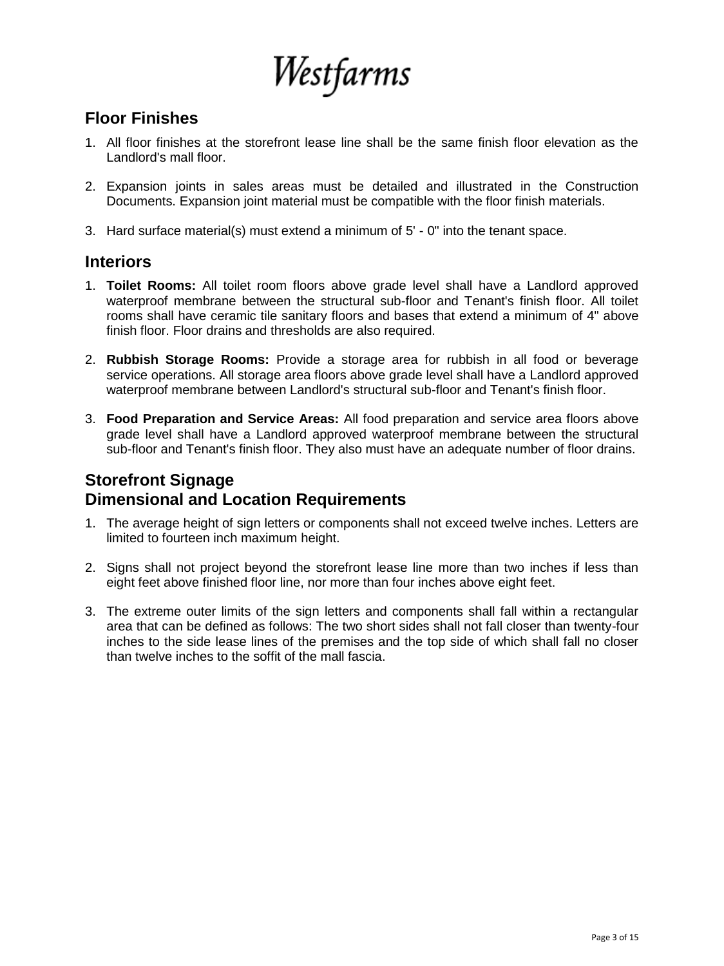Westfarms

# **Floor Finishes**

- 1. All floor finishes at the storefront lease line shall be the same finish floor elevation as the Landlord's mall floor.
- 2. Expansion joints in sales areas must be detailed and illustrated in the Construction Documents. Expansion joint material must be compatible with the floor finish materials.
- 3. Hard surface material(s) must extend a minimum of 5' 0" into the tenant space.

## **Interiors**

- 1. **Toilet Rooms:** All toilet room floors above grade level shall have a Landlord approved waterproof membrane between the structural sub-floor and Tenant's finish floor. All toilet rooms shall have ceramic tile sanitary floors and bases that extend a minimum of 4" above finish floor. Floor drains and thresholds are also required.
- 2. **Rubbish Storage Rooms:** Provide a storage area for rubbish in all food or beverage service operations. All storage area floors above grade level shall have a Landlord approved waterproof membrane between Landlord's structural sub-floor and Tenant's finish floor.
- 3. **Food Preparation and Service Areas:** All food preparation and service area floors above grade level shall have a Landlord approved waterproof membrane between the structural sub-floor and Tenant's finish floor. They also must have an adequate number of floor drains.

# **Storefront Signage Dimensional and Location Requirements**

- 1. The average height of sign letters or components shall not exceed twelve inches. Letters are limited to fourteen inch maximum height.
- 2. Signs shall not project beyond the storefront lease line more than two inches if less than eight feet above finished floor line, nor more than four inches above eight feet.
- 3. The extreme outer limits of the sign letters and components shall fall within a rectangular area that can be defined as follows: The two short sides shall not fall closer than twenty-four inches to the side lease lines of the premises and the top side of which shall fall no closer than twelve inches to the soffit of the mall fascia.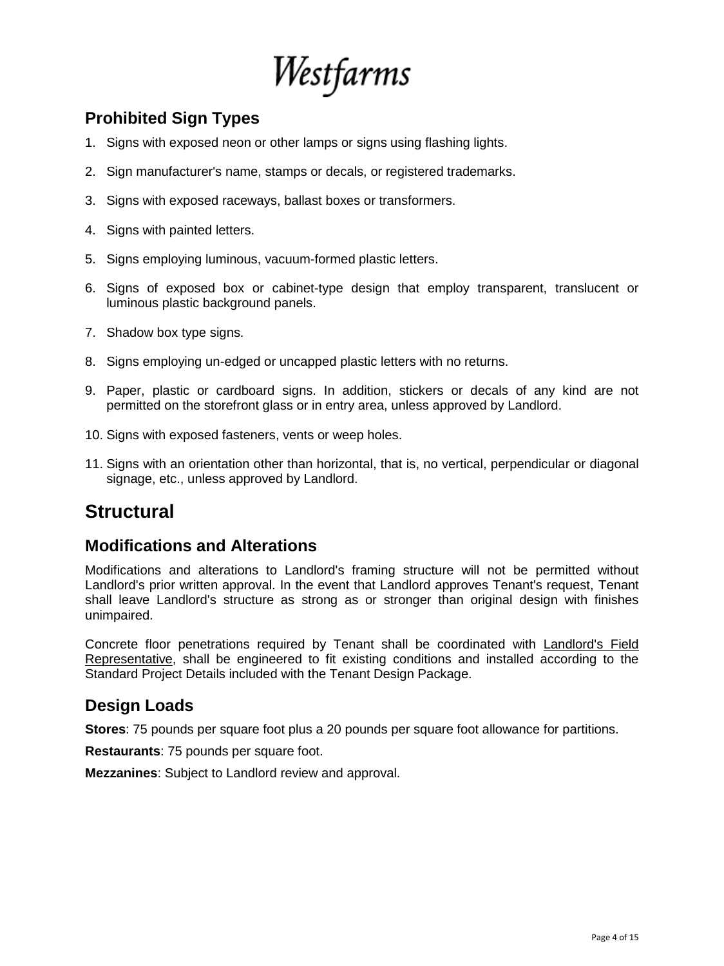

# **Prohibited Sign Types**

- 1. Signs with exposed neon or other lamps or signs using flashing lights.
- 2. Sign manufacturer's name, stamps or decals, or registered trademarks.
- 3. Signs with exposed raceways, ballast boxes or transformers.
- 4. Signs with painted letters.
- 5. Signs employing luminous, vacuum-formed plastic letters.
- 6. Signs of exposed box or cabinet-type design that employ transparent, translucent or luminous plastic background panels.
- 7. Shadow box type signs.
- 8. Signs employing un-edged or uncapped plastic letters with no returns.
- 9. Paper, plastic or cardboard signs. In addition, stickers or decals of any kind are not permitted on the storefront glass or in entry area, unless approved by Landlord.
- 10. Signs with exposed fasteners, vents or weep holes.
- 11. Signs with an orientation other than horizontal, that is, no vertical, perpendicular or diagonal signage, etc., unless approved by Landlord.

# **Structural**

## **Modifications and Alterations**

Modifications and alterations to Landlord's framing structure will not be permitted without Landlord's prior written approval. In the event that Landlord approves Tenant's request, Tenant shall leave Landlord's structure as strong as or stronger than original design with finishes unimpaired.

Concrete floor penetrations required by Tenant shall be coordinated with Landlord's Field Representative, shall be engineered to fit existing conditions and installed according to the Standard Project Details included with the Tenant Design Package.

# **Design Loads**

**Stores**: 75 pounds per square foot plus a 20 pounds per square foot allowance for partitions.

**Restaurants**: 75 pounds per square foot.

**Mezzanines**: Subject to Landlord review and approval.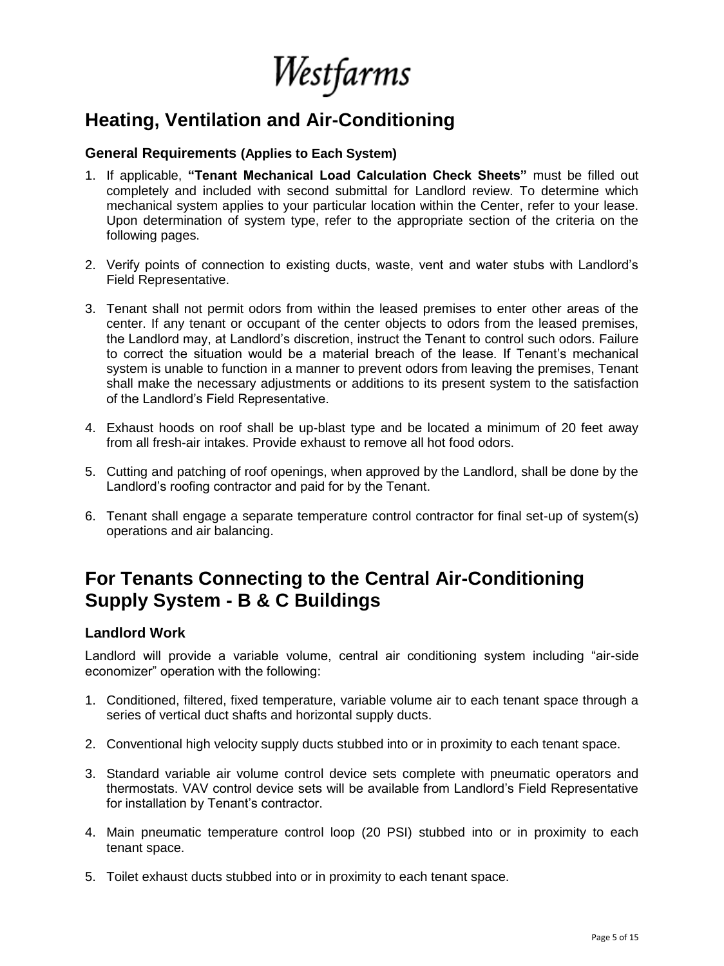Westfarms

# **Heating, Ventilation and Air-Conditioning**

#### **General Requirements (Applies to Each System)**

- 1. If applicable, **"Tenant Mechanical Load Calculation Check Sheets"** must be filled out completely and included with second submittal for Landlord review. To determine which mechanical system applies to your particular location within the Center, refer to your lease. Upon determination of system type, refer to the appropriate section of the criteria on the following pages.
- 2. Verify points of connection to existing ducts, waste, vent and water stubs with Landlord's Field Representative.
- 3. Tenant shall not permit odors from within the leased premises to enter other areas of the center. If any tenant or occupant of the center objects to odors from the leased premises, the Landlord may, at Landlord's discretion, instruct the Tenant to control such odors. Failure to correct the situation would be a material breach of the lease. If Tenant's mechanical system is unable to function in a manner to prevent odors from leaving the premises, Tenant shall make the necessary adjustments or additions to its present system to the satisfaction of the Landlord's Field Representative.
- 4. Exhaust hoods on roof shall be up-blast type and be located a minimum of 20 feet away from all fresh-air intakes. Provide exhaust to remove all hot food odors.
- 5. Cutting and patching of roof openings, when approved by the Landlord, shall be done by the Landlord's roofing contractor and paid for by the Tenant.
- 6. Tenant shall engage a separate temperature control contractor for final set-up of system(s) operations and air balancing.

# **For Tenants Connecting to the Central Air-Conditioning Supply System - B & C Buildings**

#### **Landlord Work**

Landlord will provide a variable volume, central air conditioning system including "air-side economizer" operation with the following:

- 1. Conditioned, filtered, fixed temperature, variable volume air to each tenant space through a series of vertical duct shafts and horizontal supply ducts.
- 2. Conventional high velocity supply ducts stubbed into or in proximity to each tenant space.
- 3. Standard variable air volume control device sets complete with pneumatic operators and thermostats. VAV control device sets will be available from Landlord's Field Representative for installation by Tenant's contractor.
- 4. Main pneumatic temperature control loop (20 PSI) stubbed into or in proximity to each tenant space.
- 5. Toilet exhaust ducts stubbed into or in proximity to each tenant space.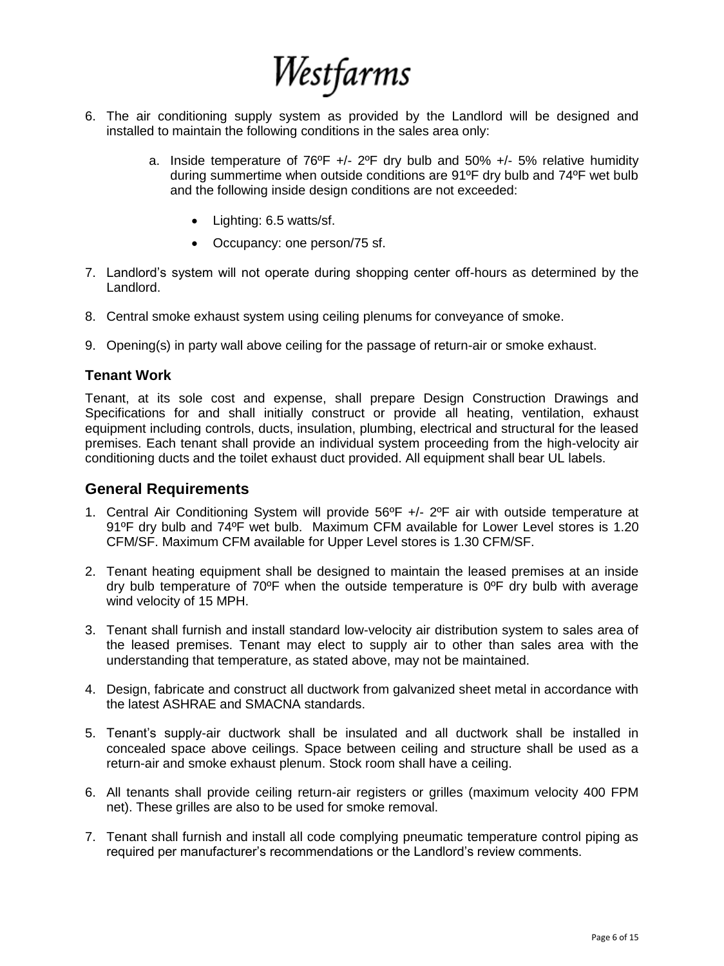

- 6. The air conditioning supply system as provided by the Landlord will be designed and installed to maintain the following conditions in the sales area only:
	- a. Inside temperature of  $76^{\circ}F$  +/-  $2^{\circ}F$  dry bulb and 50% +/- 5% relative humidity during summertime when outside conditions are 91ºF dry bulb and 74ºF wet bulb and the following inside design conditions are not exceeded:
		- Lighting: 6.5 watts/sf.
		- Occupancy: one person/75 sf.
- 7. Landlord's system will not operate during shopping center off-hours as determined by the Landlord.
- 8. Central smoke exhaust system using ceiling plenums for conveyance of smoke.
- 9. Opening(s) in party wall above ceiling for the passage of return-air or smoke exhaust.

#### **Tenant Work**

Tenant, at its sole cost and expense, shall prepare Design Construction Drawings and Specifications for and shall initially construct or provide all heating, ventilation, exhaust equipment including controls, ducts, insulation, plumbing, electrical and structural for the leased premises. Each tenant shall provide an individual system proceeding from the high-velocity air conditioning ducts and the toilet exhaust duct provided. All equipment shall bear UL labels.

#### **General Requirements**

- 1. Central Air Conditioning System will provide 56ºF +/- 2ºF air with outside temperature at 91ºF dry bulb and 74ºF wet bulb. Maximum CFM available for Lower Level stores is 1.20 CFM/SF. Maximum CFM available for Upper Level stores is 1.30 CFM/SF.
- 2. Tenant heating equipment shall be designed to maintain the leased premises at an inside dry bulb temperature of  $70^{\circ}$ F when the outside temperature is  $0^{\circ}$ F dry bulb with average wind velocity of 15 MPH.
- 3. Tenant shall furnish and install standard low-velocity air distribution system to sales area of the leased premises. Tenant may elect to supply air to other than sales area with the understanding that temperature, as stated above, may not be maintained.
- 4. Design, fabricate and construct all ductwork from galvanized sheet metal in accordance with the latest ASHRAE and SMACNA standards.
- 5. Tenant's supply-air ductwork shall be insulated and all ductwork shall be installed in concealed space above ceilings. Space between ceiling and structure shall be used as a return-air and smoke exhaust plenum. Stock room shall have a ceiling.
- 6. All tenants shall provide ceiling return-air registers or grilles (maximum velocity 400 FPM net). These grilles are also to be used for smoke removal.
- 7. Tenant shall furnish and install all code complying pneumatic temperature control piping as required per manufacturer's recommendations or the Landlord's review comments.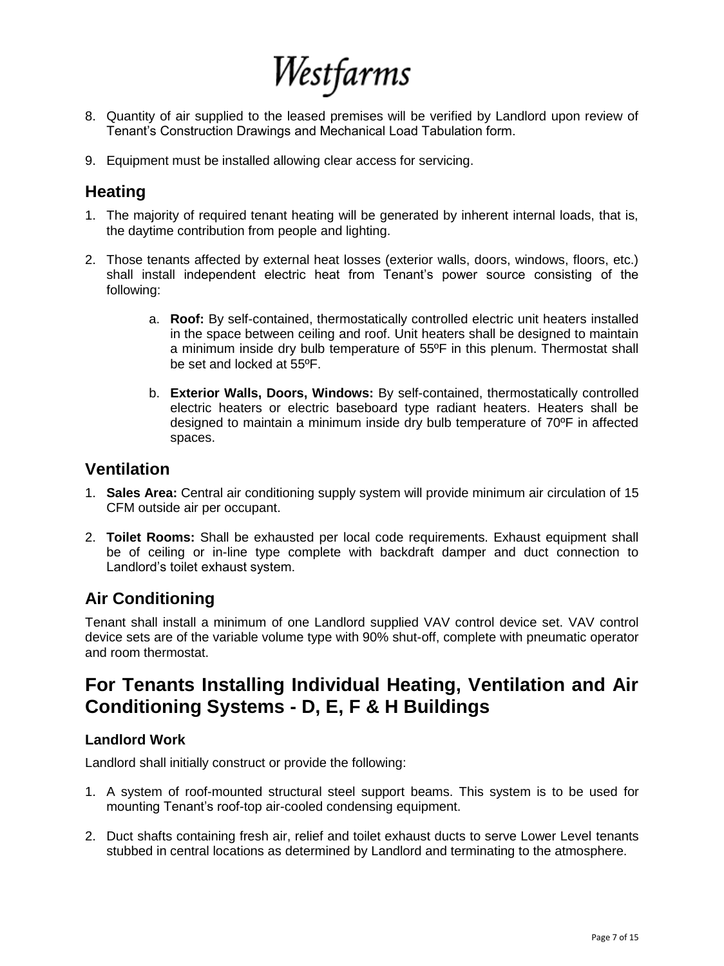# Westfarms

- 8. Quantity of air supplied to the leased premises will be verified by Landlord upon review of Tenant's Construction Drawings and Mechanical Load Tabulation form.
- 9. Equipment must be installed allowing clear access for servicing.

# **Heating**

- 1. The majority of required tenant heating will be generated by inherent internal loads, that is, the daytime contribution from people and lighting.
- 2. Those tenants affected by external heat losses (exterior walls, doors, windows, floors, etc.) shall install independent electric heat from Tenant's power source consisting of the following:
	- a. **Roof:** By self-contained, thermostatically controlled electric unit heaters installed in the space between ceiling and roof. Unit heaters shall be designed to maintain a minimum inside dry bulb temperature of 55ºF in this plenum. Thermostat shall be set and locked at 55ºF.
	- b. **Exterior Walls, Doors, Windows:** By self-contained, thermostatically controlled electric heaters or electric baseboard type radiant heaters. Heaters shall be designed to maintain a minimum inside dry bulb temperature of 70ºF in affected spaces.

## **Ventilation**

- 1. **Sales Area:** Central air conditioning supply system will provide minimum air circulation of 15 CFM outside air per occupant.
- 2. **Toilet Rooms:** Shall be exhausted per local code requirements. Exhaust equipment shall be of ceiling or in-line type complete with backdraft damper and duct connection to Landlord's toilet exhaust system.

# **Air Conditioning**

Tenant shall install a minimum of one Landlord supplied VAV control device set. VAV control device sets are of the variable volume type with 90% shut-off, complete with pneumatic operator and room thermostat.

# **For Tenants Installing Individual Heating, Ventilation and Air Conditioning Systems - D, E, F & H Buildings**

## **Landlord Work**

Landlord shall initially construct or provide the following:

- 1. A system of roof-mounted structural steel support beams. This system is to be used for mounting Tenant's roof-top air-cooled condensing equipment.
- 2. Duct shafts containing fresh air, relief and toilet exhaust ducts to serve Lower Level tenants stubbed in central locations as determined by Landlord and terminating to the atmosphere.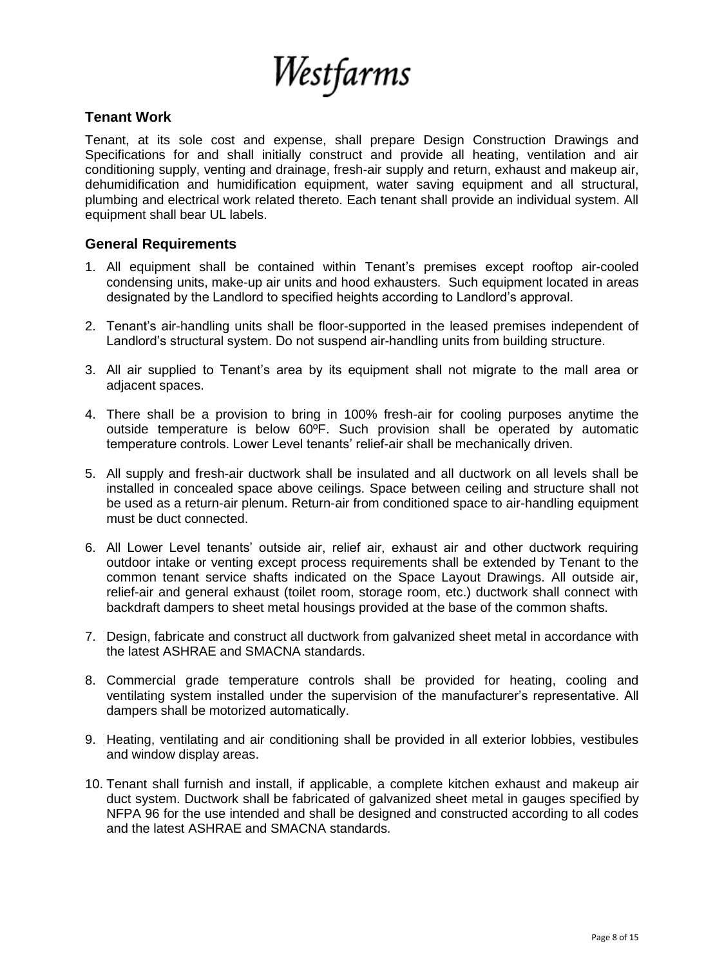

#### **Tenant Work**

Tenant, at its sole cost and expense, shall prepare Design Construction Drawings and Specifications for and shall initially construct and provide all heating, ventilation and air conditioning supply, venting and drainage, fresh-air supply and return, exhaust and makeup air, dehumidification and humidification equipment, water saving equipment and all structural, plumbing and electrical work related thereto. Each tenant shall provide an individual system. All equipment shall bear UL labels.

#### **General Requirements**

- 1. All equipment shall be contained within Tenant's premises except rooftop air-cooled condensing units, make-up air units and hood exhausters. Such equipment located in areas designated by the Landlord to specified heights according to Landlord's approval.
- 2. Tenant's air-handling units shall be floor-supported in the leased premises independent of Landlord's structural system. Do not suspend air-handling units from building structure.
- 3. All air supplied to Tenant's area by its equipment shall not migrate to the mall area or adjacent spaces.
- 4. There shall be a provision to bring in 100% fresh-air for cooling purposes anytime the outside temperature is below 60ºF. Such provision shall be operated by automatic temperature controls. Lower Level tenants' relief-air shall be mechanically driven.
- 5. All supply and fresh-air ductwork shall be insulated and all ductwork on all levels shall be installed in concealed space above ceilings. Space between ceiling and structure shall not be used as a return-air plenum. Return-air from conditioned space to air-handling equipment must be duct connected.
- 6. All Lower Level tenants' outside air, relief air, exhaust air and other ductwork requiring outdoor intake or venting except process requirements shall be extended by Tenant to the common tenant service shafts indicated on the Space Layout Drawings. All outside air, relief-air and general exhaust (toilet room, storage room, etc.) ductwork shall connect with backdraft dampers to sheet metal housings provided at the base of the common shafts.
- 7. Design, fabricate and construct all ductwork from galvanized sheet metal in accordance with the latest ASHRAE and SMACNA standards.
- 8. Commercial grade temperature controls shall be provided for heating, cooling and ventilating system installed under the supervision of the manufacturer's representative. All dampers shall be motorized automatically.
- 9. Heating, ventilating and air conditioning shall be provided in all exterior lobbies, vestibules and window display areas.
- 10. Tenant shall furnish and install, if applicable, a complete kitchen exhaust and makeup air duct system. Ductwork shall be fabricated of galvanized sheet metal in gauges specified by NFPA 96 for the use intended and shall be designed and constructed according to all codes and the latest ASHRAE and SMACNA standards.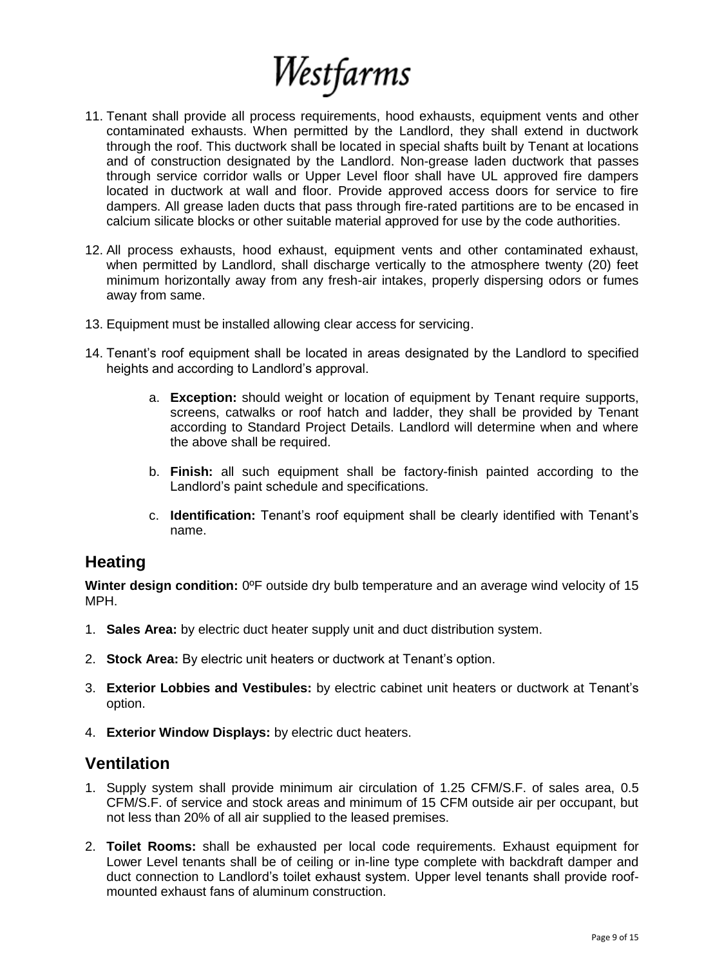

- 11. Tenant shall provide all process requirements, hood exhausts, equipment vents and other contaminated exhausts. When permitted by the Landlord, they shall extend in ductwork through the roof. This ductwork shall be located in special shafts built by Tenant at locations and of construction designated by the Landlord. Non-grease laden ductwork that passes through service corridor walls or Upper Level floor shall have UL approved fire dampers located in ductwork at wall and floor. Provide approved access doors for service to fire dampers. All grease laden ducts that pass through fire-rated partitions are to be encased in calcium silicate blocks or other suitable material approved for use by the code authorities.
- 12. All process exhausts, hood exhaust, equipment vents and other contaminated exhaust, when permitted by Landlord, shall discharge vertically to the atmosphere twenty (20) feet minimum horizontally away from any fresh-air intakes, properly dispersing odors or fumes away from same.
- 13. Equipment must be installed allowing clear access for servicing.
- 14. Tenant's roof equipment shall be located in areas designated by the Landlord to specified heights and according to Landlord's approval.
	- a. **Exception:** should weight or location of equipment by Tenant require supports, screens, catwalks or roof hatch and ladder, they shall be provided by Tenant according to Standard Project Details. Landlord will determine when and where the above shall be required.
	- b. **Finish:** all such equipment shall be factory-finish painted according to the Landlord's paint schedule and specifications.
	- c. **Identification:** Tenant's roof equipment shall be clearly identified with Tenant's name.

## **Heating**

**Winter design condition:** 0ºF outside dry bulb temperature and an average wind velocity of 15 MPH.

- 1. **Sales Area:** by electric duct heater supply unit and duct distribution system.
- 2. **Stock Area:** By electric unit heaters or ductwork at Tenant's option.
- 3. **Exterior Lobbies and Vestibules:** by electric cabinet unit heaters or ductwork at Tenant's option.
- 4. **Exterior Window Displays:** by electric duct heaters.

## **Ventilation**

- 1. Supply system shall provide minimum air circulation of 1.25 CFM/S.F. of sales area, 0.5 CFM/S.F. of service and stock areas and minimum of 15 CFM outside air per occupant, but not less than 20% of all air supplied to the leased premises.
- 2. **Toilet Rooms:** shall be exhausted per local code requirements. Exhaust equipment for Lower Level tenants shall be of ceiling or in-line type complete with backdraft damper and duct connection to Landlord's toilet exhaust system. Upper level tenants shall provide roofmounted exhaust fans of aluminum construction.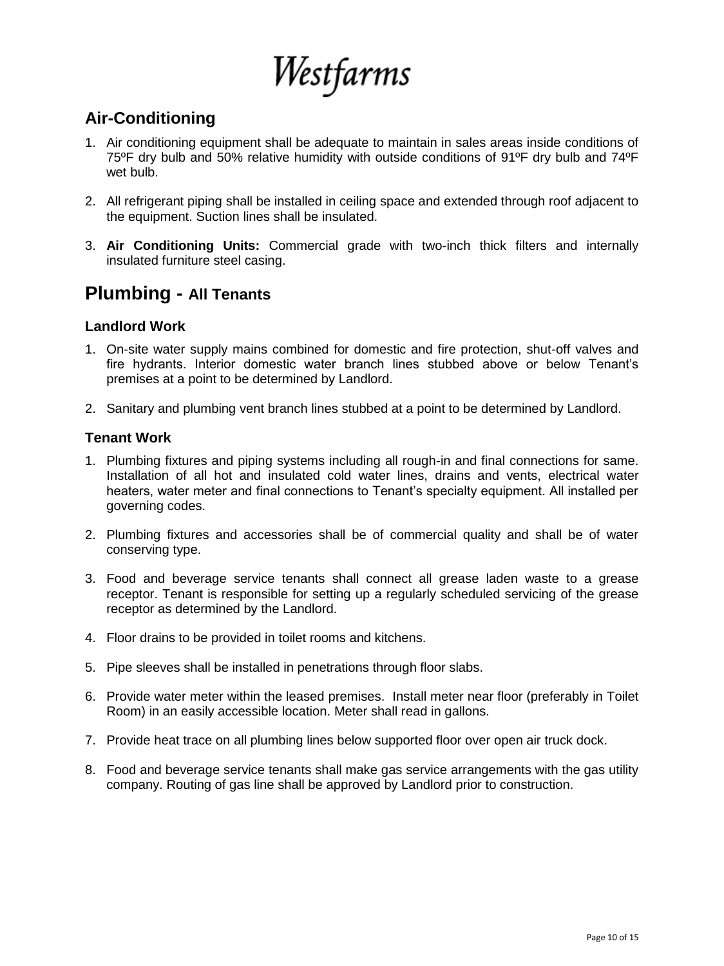Westfarms

# **Air-Conditioning**

- 1. Air conditioning equipment shall be adequate to maintain in sales areas inside conditions of 75ºF dry bulb and 50% relative humidity with outside conditions of 91ºF dry bulb and 74ºF wet bulb.
- 2. All refrigerant piping shall be installed in ceiling space and extended through roof adjacent to the equipment. Suction lines shall be insulated.
- 3. **Air Conditioning Units:** Commercial grade with two-inch thick filters and internally insulated furniture steel casing.

# **Plumbing - All Tenants**

#### **Landlord Work**

- 1. On-site water supply mains combined for domestic and fire protection, shut-off valves and fire hydrants. Interior domestic water branch lines stubbed above or below Tenant's premises at a point to be determined by Landlord.
- 2. Sanitary and plumbing vent branch lines stubbed at a point to be determined by Landlord.

#### **Tenant Work**

- 1. Plumbing fixtures and piping systems including all rough-in and final connections for same. Installation of all hot and insulated cold water lines, drains and vents, electrical water heaters, water meter and final connections to Tenant's specialty equipment. All installed per governing codes.
- 2. Plumbing fixtures and accessories shall be of commercial quality and shall be of water conserving type.
- 3. Food and beverage service tenants shall connect all grease laden waste to a grease receptor. Tenant is responsible for setting up a regularly scheduled servicing of the grease receptor as determined by the Landlord.
- 4. Floor drains to be provided in toilet rooms and kitchens.
- 5. Pipe sleeves shall be installed in penetrations through floor slabs.
- 6. Provide water meter within the leased premises. Install meter near floor (preferably in Toilet Room) in an easily accessible location. Meter shall read in gallons.
- 7. Provide heat trace on all plumbing lines below supported floor over open air truck dock.
- 8. Food and beverage service tenants shall make gas service arrangements with the gas utility company. Routing of gas line shall be approved by Landlord prior to construction.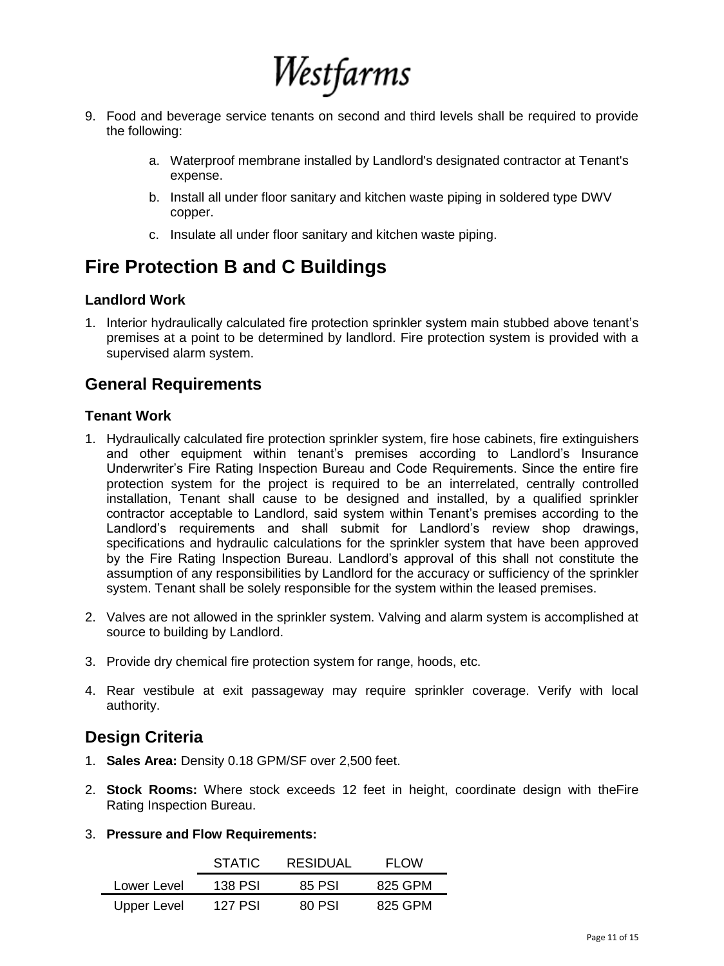

- 9. Food and beverage service tenants on second and third levels shall be required to provide the following:
	- a. Waterproof membrane installed by Landlord's designated contractor at Tenant's expense.
	- b. Install all under floor sanitary and kitchen waste piping in soldered type DWV copper.
	- c. Insulate all under floor sanitary and kitchen waste piping.

# **Fire Protection B and C Buildings**

#### **Landlord Work**

1. Interior hydraulically calculated fire protection sprinkler system main stubbed above tenant's premises at a point to be determined by landlord. Fire protection system is provided with a supervised alarm system.

## **General Requirements**

#### **Tenant Work**

- 1. Hydraulically calculated fire protection sprinkler system, fire hose cabinets, fire extinguishers and other equipment within tenant's premises according to Landlord's Insurance Underwriter's Fire Rating Inspection Bureau and Code Requirements. Since the entire fire protection system for the project is required to be an interrelated, centrally controlled installation, Tenant shall cause to be designed and installed, by a qualified sprinkler contractor acceptable to Landlord, said system within Tenant's premises according to the Landlord's requirements and shall submit for Landlord's review shop drawings, specifications and hydraulic calculations for the sprinkler system that have been approved by the Fire Rating Inspection Bureau. Landlord's approval of this shall not constitute the assumption of any responsibilities by Landlord for the accuracy or sufficiency of the sprinkler system. Tenant shall be solely responsible for the system within the leased premises.
- 2. Valves are not allowed in the sprinkler system. Valving and alarm system is accomplished at source to building by Landlord.
- 3. Provide dry chemical fire protection system for range, hoods, etc.
- 4. Rear vestibule at exit passageway may require sprinkler coverage. Verify with local authority.

# **Design Criteria**

- 1. **Sales Area:** Density 0.18 GPM/SF over 2,500 feet.
- 2. **Stock Rooms:** Where stock exceeds 12 feet in height, coordinate design with theFire Rating Inspection Bureau.
- 3. **Pressure and Flow Requirements:**

|             | <b>STATIC</b> | RESIDUAL | FI OW   |
|-------------|---------------|----------|---------|
| Lower Level | 138 PSI       | 85 PSL   | 825 GPM |
| Upper Level | 127 P.SI      | 80 P.SI  | 825 GPM |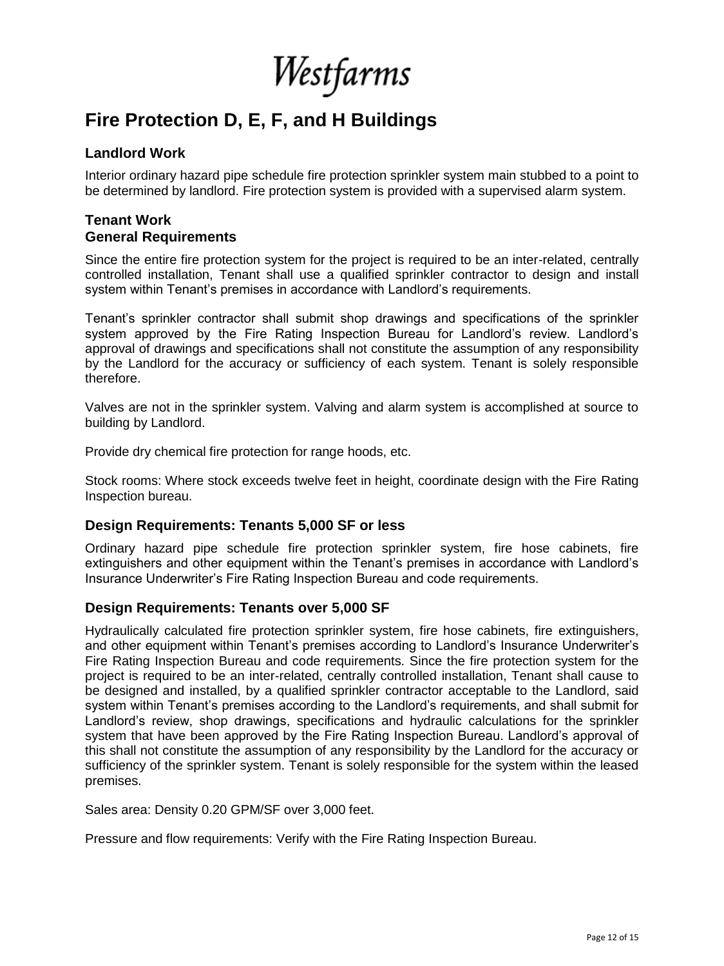Westfarms

# **Fire Protection D, E, F, and H Buildings**

#### **Landlord Work**

Interior ordinary hazard pipe schedule fire protection sprinkler system main stubbed to a point to be determined by landlord. Fire protection system is provided with a supervised alarm system.

#### **Tenant Work General Requirements**

Since the entire fire protection system for the project is required to be an inter-related, centrally controlled installation, Tenant shall use a qualified sprinkler contractor to design and install system within Tenant's premises in accordance with Landlord's requirements.

Tenant's sprinkler contractor shall submit shop drawings and specifications of the sprinkler system approved by the Fire Rating Inspection Bureau for Landlord's review. Landlord's approval of drawings and specifications shall not constitute the assumption of any responsibility by the Landlord for the accuracy or sufficiency of each system. Tenant is solely responsible therefore.

Valves are not in the sprinkler system. Valving and alarm system is accomplished at source to building by Landlord.

Provide dry chemical fire protection for range hoods, etc.

Stock rooms: Where stock exceeds twelve feet in height, coordinate design with the Fire Rating Inspection bureau.

#### **Design Requirements: Tenants 5,000 SF or less**

Ordinary hazard pipe schedule fire protection sprinkler system, fire hose cabinets, fire extinguishers and other equipment within the Tenant's premises in accordance with Landlord's Insurance Underwriter's Fire Rating Inspection Bureau and code requirements.

#### **Design Requirements: Tenants over 5,000 SF**

Hydraulically calculated fire protection sprinkler system, fire hose cabinets, fire extinguishers, and other equipment within Tenant's premises according to Landlord's Insurance Underwriter's Fire Rating Inspection Bureau and code requirements. Since the fire protection system for the project is required to be an inter-related, centrally controlled installation, Tenant shall cause to be designed and installed, by a qualified sprinkler contractor acceptable to the Landlord, said system within Tenant's premises according to the Landlord's requirements, and shall submit for Landlord's review, shop drawings, specifications and hydraulic calculations for the sprinkler system that have been approved by the Fire Rating Inspection Bureau. Landlord's approval of this shall not constitute the assumption of any responsibility by the Landlord for the accuracy or sufficiency of the sprinkler system. Tenant is solely responsible for the system within the leased premises.

Sales area: Density 0.20 GPM/SF over 3,000 feet.

Pressure and flow requirements: Verify with the Fire Rating Inspection Bureau.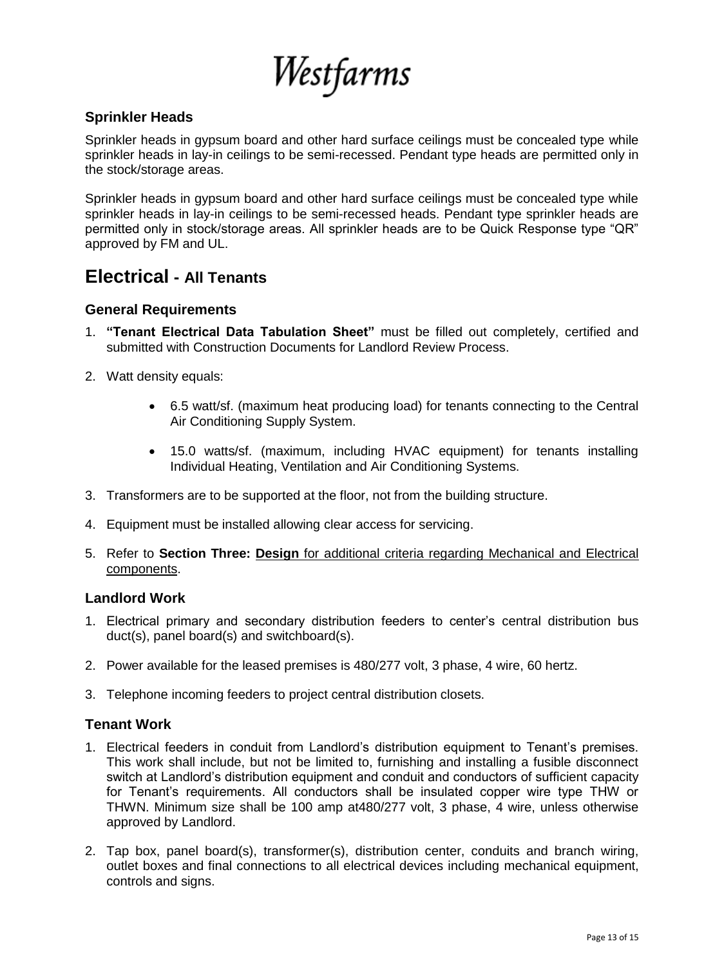Westfarms

#### **Sprinkler Heads**

Sprinkler heads in gypsum board and other hard surface ceilings must be concealed type while sprinkler heads in lay-in ceilings to be semi-recessed. Pendant type heads are permitted only in the stock/storage areas.

Sprinkler heads in gypsum board and other hard surface ceilings must be concealed type while sprinkler heads in lay-in ceilings to be semi-recessed heads. Pendant type sprinkler heads are permitted only in stock/storage areas. All sprinkler heads are to be Quick Response type "QR" approved by FM and UL.

# **Electrical - All Tenants**

#### **General Requirements**

- 1. **"Tenant Electrical Data Tabulation Sheet"** must be filled out completely, certified and submitted with Construction Documents for Landlord Review Process.
- 2. Watt density equals:
	- 6.5 watt/sf. (maximum heat producing load) for tenants connecting to the Central Air Conditioning Supply System.
	- 15.0 watts/sf. (maximum, including HVAC equipment) for tenants installing Individual Heating, Ventilation and Air Conditioning Systems.
- 3. Transformers are to be supported at the floor, not from the building structure.
- 4. Equipment must be installed allowing clear access for servicing.
- 5. Refer to **Section Three: Design** for additional criteria regarding Mechanical and Electrical components.

#### **Landlord Work**

- 1. Electrical primary and secondary distribution feeders to center's central distribution bus duct(s), panel board(s) and switchboard(s).
- 2. Power available for the leased premises is 480/277 volt, 3 phase, 4 wire, 60 hertz.
- 3. Telephone incoming feeders to project central distribution closets.

#### **Tenant Work**

- 1. Electrical feeders in conduit from Landlord's distribution equipment to Tenant's premises. This work shall include, but not be limited to, furnishing and installing a fusible disconnect switch at Landlord's distribution equipment and conduit and conductors of sufficient capacity for Tenant's requirements. All conductors shall be insulated copper wire type THW or THWN. Minimum size shall be 100 amp at480/277 volt, 3 phase, 4 wire, unless otherwise approved by Landlord.
- 2. Tap box, panel board(s), transformer(s), distribution center, conduits and branch wiring, outlet boxes and final connections to all electrical devices including mechanical equipment, controls and signs.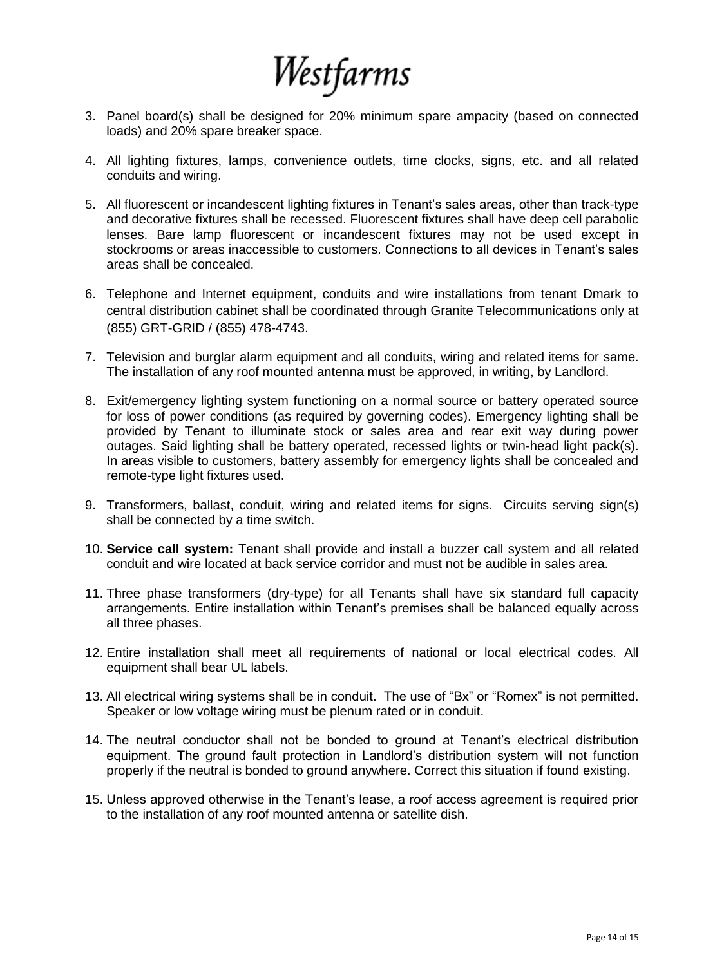

- 3. Panel board(s) shall be designed for 20% minimum spare ampacity (based on connected loads) and 20% spare breaker space.
- 4. All lighting fixtures, lamps, convenience outlets, time clocks, signs, etc. and all related conduits and wiring.
- 5. All fluorescent or incandescent lighting fixtures in Tenant's sales areas, other than track-type and decorative fixtures shall be recessed. Fluorescent fixtures shall have deep cell parabolic lenses. Bare lamp fluorescent or incandescent fixtures may not be used except in stockrooms or areas inaccessible to customers. Connections to all devices in Tenant's sales areas shall be concealed.
- 6. Telephone and Internet equipment, conduits and wire installations from tenant Dmark to central distribution cabinet shall be coordinated through Granite Telecommunications only at (855) GRT-GRID / (855) 478-4743.
- 7. Television and burglar alarm equipment and all conduits, wiring and related items for same. The installation of any roof mounted antenna must be approved, in writing, by Landlord.
- 8. Exit/emergency lighting system functioning on a normal source or battery operated source for loss of power conditions (as required by governing codes). Emergency lighting shall be provided by Tenant to illuminate stock or sales area and rear exit way during power outages. Said lighting shall be battery operated, recessed lights or twin-head light pack(s). In areas visible to customers, battery assembly for emergency lights shall be concealed and remote-type light fixtures used.
- 9. Transformers, ballast, conduit, wiring and related items for signs. Circuits serving sign(s) shall be connected by a time switch.
- 10. **Service call system:** Tenant shall provide and install a buzzer call system and all related conduit and wire located at back service corridor and must not be audible in sales area.
- 11. Three phase transformers (dry-type) for all Tenants shall have six standard full capacity arrangements. Entire installation within Tenant's premises shall be balanced equally across all three phases.
- 12. Entire installation shall meet all requirements of national or local electrical codes. All equipment shall bear UL labels.
- 13. All electrical wiring systems shall be in conduit. The use of "Bx" or "Romex" is not permitted. Speaker or low voltage wiring must be plenum rated or in conduit.
- 14. The neutral conductor shall not be bonded to ground at Tenant's electrical distribution equipment. The ground fault protection in Landlord's distribution system will not function properly if the neutral is bonded to ground anywhere. Correct this situation if found existing.
- 15. Unless approved otherwise in the Tenant's lease, a roof access agreement is required prior to the installation of any roof mounted antenna or satellite dish.